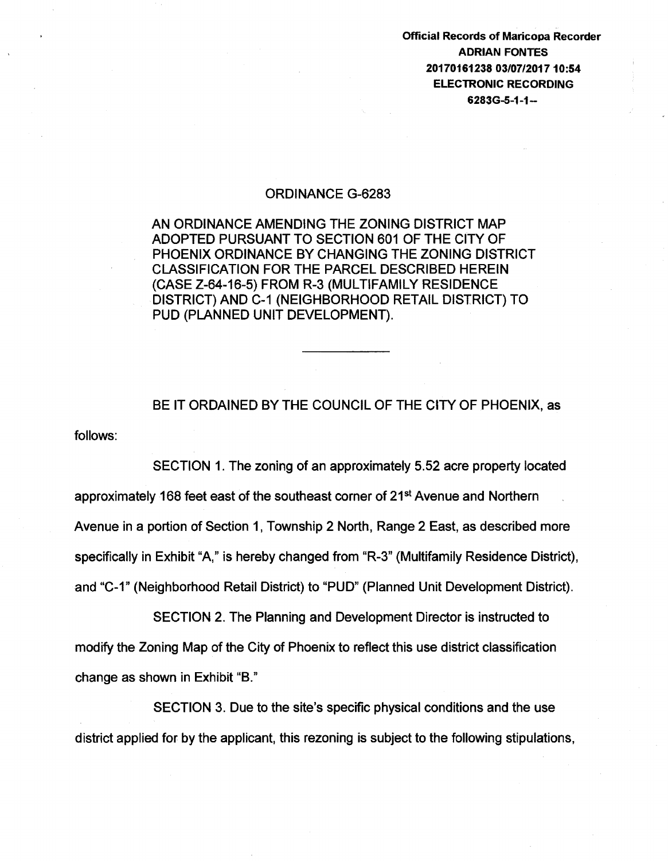Official Records of Maricopa Recorder ADRIAN FONTES 20170161238 03/07/201710:54 ELECTRONIC RECORDING  $6283G-5-1-1-$ 

## ORDINANCE G-6283

AN ORDINANCE AMENDING THE ZONING DISTRICT MAP ADOPTED PURSUANT TO SECTION 601 OF THE CITY OF PHOENIX ORDINANCE BY CHANGING THE ZONING DISTRICT CLASSIFICATION FOR THE PARCEL DESCRIBED HEREIN (CASE Z-64-16-5) FROM R-3 (MULTIFAMILY RESIDENCE DISTRICT) AND C-1 (NEIGHBORHOOD RETAIL DISTRICT) TO PUD (PLANNED UNIT DEVELOPMENT).

follows: BE IT ORDAINED BY THE COUNCIL OF THE CITY OF PHOENIX, as

SECTION 1. The zoning of an approximately 5.52 acre property located approximately 168 feet east of the southeast corner of 21<sup>st</sup> Avenue and Northern Avenue in a portion of Section 1, Township 2 North, Range 2 East, as described more specifically in Exhibit "A," is hereby changed from "R-3" (Multifamily Residence District), and "C-1" (Neighborhood Retail District) to "PUD" (Planned Unit Development District).

SECTION 2. The Planning and Development Director is instructed to modify the Zoning Map of the City of Phoenix to reflect this use district classification change as shown in Exhibit "B."

SECTION 3. Due to the site's specific physical conditions and the use district applied for by the applicant, this rezoning is subject to the following stipulations,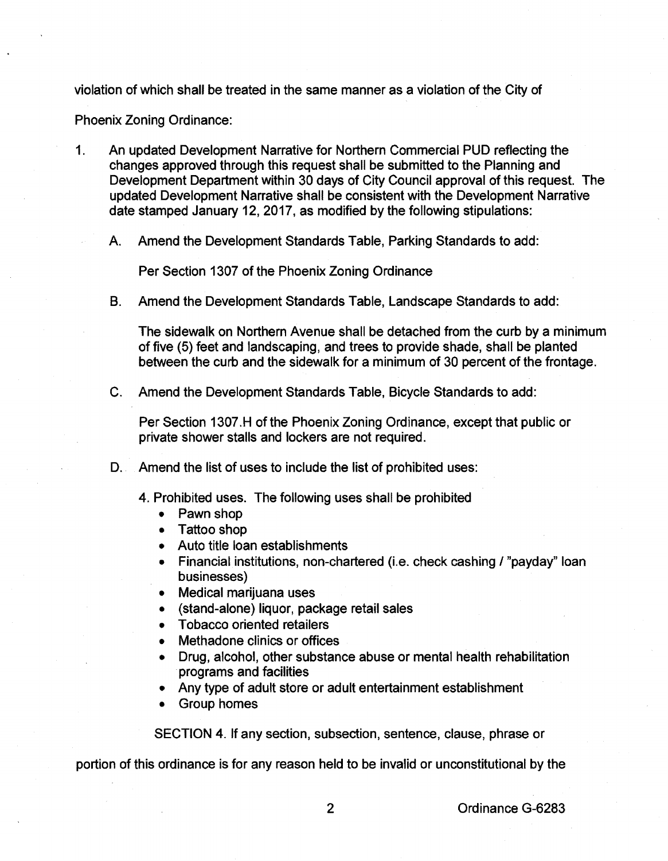violation of which shall be treated in the same manner as a violation of the City of

Phoenix Zoning Ordinance:

- 1. An updated Development Narrative for Northern Commercial PUD reflecting the changes approved through this request shall be submitted to the Planning and Development Department within 30 days of City Council approval of this request. The updated Development Narrative shall be consistent with the Development Narrative date stamped January 12, 2017, as modified by the following stipulations:
	- A. Amend the Development Standards Table, Parking Standards to add:

Per Section 1307 of the Phoenix Zoning Ordinance

B. Amend the Development Standards Table, Landscape Standards to add:

The sidewalk on Northern Avenue shall be detached from the curb by a minimum of five (5) feet and landscaping, and trees to provide shade, shall be planted between the curb and the sidewalk for a minimum of 30 percent of the frontage.

C. Amend the Development Standards Table, Bicycle Standards to add:

Per Section 1307 .H of the Phoenix Zoning Ordinance, except that public or private shower stalls and lockers are not required.

- D. Amend the list of uses to include the list of prohibited uses:
	- 4. Prohibited uses. The following uses shall be prohibited
		- Pawn shop
		- Tattoo shop
		- Auto title loan establishments
		- Financial institutions, non-chartered (i.e. check cashing / "payday" loan businesses)
		- Medical marijuana uses
		- (stand-alone) liquor, package retail sales
		- Tobacco oriented retailers
		- Methadone clinics or offices
		- Drug, alcohol, other substance abuse or mental health rehabilitation programs and facilities
		- Any type of adult store or adult entertainment establishment
		- Group homes

SECTION 4. If any section, subsection, sentence, clause, phrase or

portion of this ordinance is for any reason held to be invalid or unconstitutional by the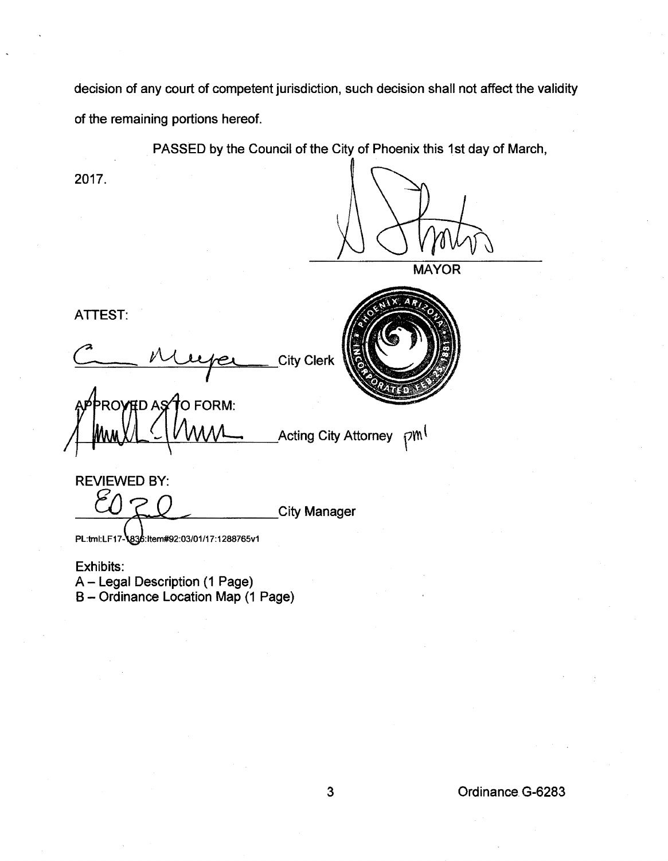decision of any court of competent jurisdiction, such decision shall not affect the validity of the remaining portions hereof.

PASSED by the Council of the City of Phoenix this 1st day of March,

<sup>1</sup> Acting City Attorney <sub>1</sub>

2017.

**MAYOR** 

ATTEST:

City Clerk

**PROVED AS TO FORM:** 



REVIEWED BY: City Manager

PL:tml:LF17-\836:Item#92:03/01/17:1288765v1

Exhibits: A- Legal Description (1 Page) B- Ordinance Location Map (1 Page)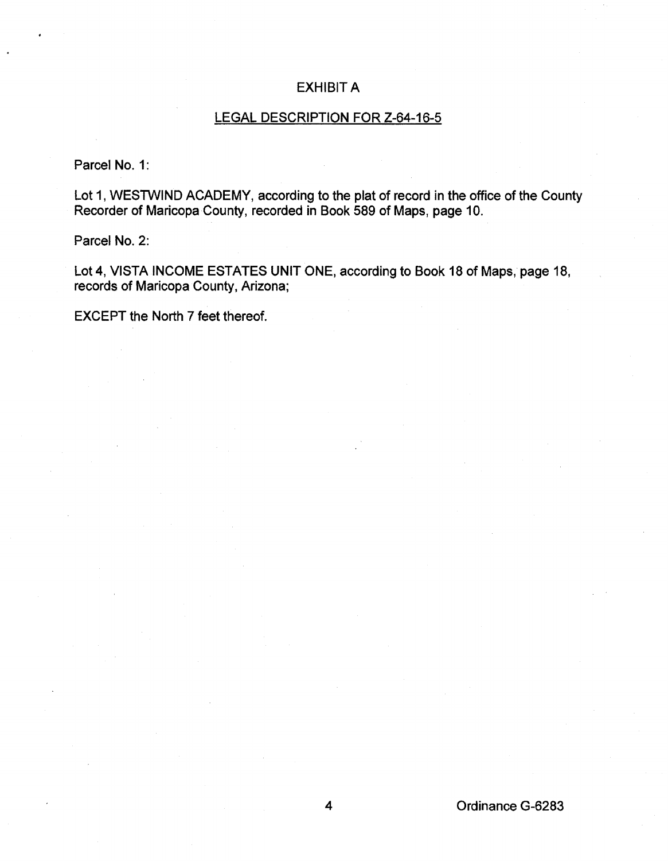## EXHIBIT A

## LEGAL DESCRIPTION FOR Z-64-16-5

Parcel No. 1:

Lot 1, WESTWIND ACADEMY, according to the plat of record in the office of the County Recorder of Maricopa County, recorded in Book 589 of Maps, page 10.

Parcel No. 2:

Lot4, VISTA INCOME ESTATES UNIT ONE, according to Book 18 of Maps, page 18, records of Maricopa County, Arizona;

EXCEPT the North 7 feet thereof.